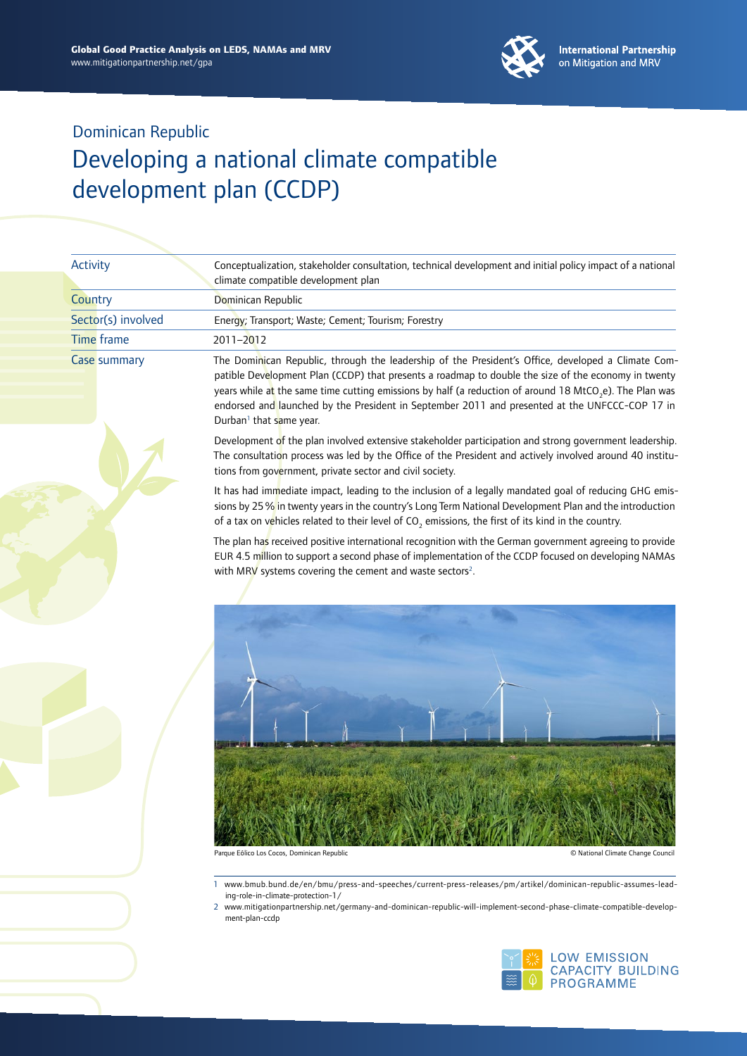

| Activity            | Conceptualization, stakeholder consultation, technical development and initial policy impact of a national<br>climate compatible development plan                                                                                                                                                                                                                                                                                                                         |  |  |
|---------------------|---------------------------------------------------------------------------------------------------------------------------------------------------------------------------------------------------------------------------------------------------------------------------------------------------------------------------------------------------------------------------------------------------------------------------------------------------------------------------|--|--|
| Country             | Dominican Republic                                                                                                                                                                                                                                                                                                                                                                                                                                                        |  |  |
| Sector(s) involved  | Energy; Transport; Waste; Cement; Tourism; Forestry                                                                                                                                                                                                                                                                                                                                                                                                                       |  |  |
| <b>Time frame</b>   | 2011-2012                                                                                                                                                                                                                                                                                                                                                                                                                                                                 |  |  |
| <b>Case summary</b> | The Dominican Republic, through the leadership of the President's Office, developed a Climate Com-<br>patible Development Plan (CCDP) that presents a roadmap to double the size of the economy in twenty<br>years while at the same time cutting emissions by half (a reduction of around 18 MtCO <sub>2</sub> e). The Plan was<br>endorsed and launched by the President in September 2011 and presented at the UNFCCC-COP 17 in<br>Durban <sup>1</sup> that same year. |  |  |
|                     | Development of the plan involved extensive stakeholder participation and strong government leadership.<br>The consultation process was led by the Office of the President and actively involved around 40 institu-<br>tions from government, private sector and civil society.                                                                                                                                                                                            |  |  |
|                     | It has had immediate impact, leading to the inclusion of a legally mandated goal of reducing GHG emis-<br>sions by 25% in twenty years in the country's Long Term National Development Plan and the introduction<br>of a tax on vehicles related to their level of $CO$ , emissions, the first of its kind in the country.                                                                                                                                                |  |  |
|                     | The plan has received positive international recognition with the German government agreeing to provide<br>EUR 4.5 million to support a second phase of implementation of the CCDP focused on developing NAMAs<br>with MRV systems covering the cement and waste sectors <sup>2</sup> .                                                                                                                                                                                   |  |  |
|                     |                                                                                                                                                                                                                                                                                                                                                                                                                                                                           |  |  |
|                     |                                                                                                                                                                                                                                                                                                                                                                                                                                                                           |  |  |

Parque Eólico Los Cocos, Dominican Republic © National Climate Change Council

1 [www.bmub.bund.de/en/bmu/press-and-speeches/current-press-releases/pm/artikel/dominican-](www.bmub.bund.de/en/bmu/press-and-speeches/current-press-releases/pm/artikel/dominican-republic-assumes-leading-role-in-climate-protection-1/)republic-assumes-leading-role-in-climate-protection-1/

2 [www.mitigationpartnership.net/germany-](www.mitigationpartnership.net/germany-and-dominican-republic-will-implement-second-phase-climate-compatible-development-plan-ccdp)and-dominican-republic-will-implement-second-phase-climate-compatible-development-plan-ccdp

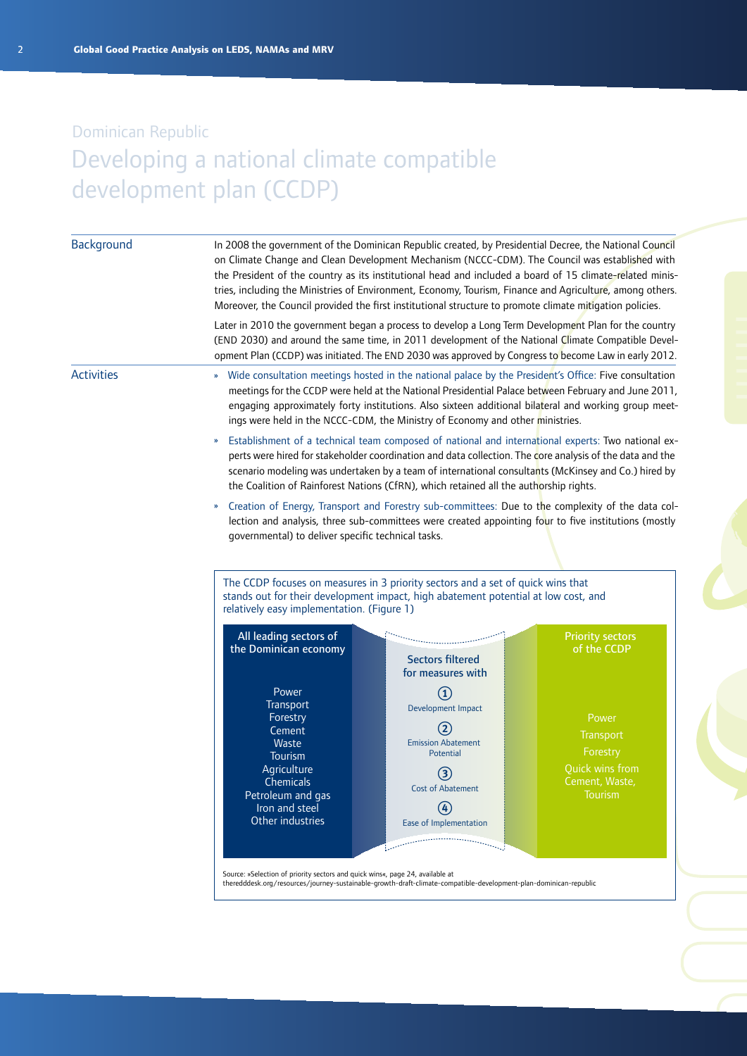| In 2008 the government of the Dominican Republic created, by Presidential Decree, the National Council<br>on Climate Change and Clean Development Mechanism (NCCC-CDM). The Council was established with<br>the President of the country as its institutional head and included a board of 15 climate-related minis-<br>tries, including the Ministries of Environment, Economy, Tourism, Finance and Agriculture, among others.<br>Moreover, the Council provided the first institutional structure to promote climate mitigation policies. |                                                                                                                                                                        |                                                                                                                                                                                                                                                                                                                                                                                                                                                                                                                                                                                                                                                                                                                                                                                                                                                                                                                                                                                                                                                                                                                                                                                               |  |  |
|----------------------------------------------------------------------------------------------------------------------------------------------------------------------------------------------------------------------------------------------------------------------------------------------------------------------------------------------------------------------------------------------------------------------------------------------------------------------------------------------------------------------------------------------|------------------------------------------------------------------------------------------------------------------------------------------------------------------------|-----------------------------------------------------------------------------------------------------------------------------------------------------------------------------------------------------------------------------------------------------------------------------------------------------------------------------------------------------------------------------------------------------------------------------------------------------------------------------------------------------------------------------------------------------------------------------------------------------------------------------------------------------------------------------------------------------------------------------------------------------------------------------------------------------------------------------------------------------------------------------------------------------------------------------------------------------------------------------------------------------------------------------------------------------------------------------------------------------------------------------------------------------------------------------------------------|--|--|
|                                                                                                                                                                                                                                                                                                                                                                                                                                                                                                                                              |                                                                                                                                                                        |                                                                                                                                                                                                                                                                                                                                                                                                                                                                                                                                                                                                                                                                                                                                                                                                                                                                                                                                                                                                                                                                                                                                                                                               |  |  |
|                                                                                                                                                                                                                                                                                                                                                                                                                                                                                                                                              |                                                                                                                                                                        |                                                                                                                                                                                                                                                                                                                                                                                                                                                                                                                                                                                                                                                                                                                                                                                                                                                                                                                                                                                                                                                                                                                                                                                               |  |  |
| $\boldsymbol{\mathcal{W}}$                                                                                                                                                                                                                                                                                                                                                                                                                                                                                                                   |                                                                                                                                                                        |                                                                                                                                                                                                                                                                                                                                                                                                                                                                                                                                                                                                                                                                                                                                                                                                                                                                                                                                                                                                                                                                                                                                                                                               |  |  |
| Creation of Energy, Transport and Forestry sub-committees: Due to the complexity of the data col-<br>$\boldsymbol{\mathcal{V}}$<br>lection and analysis, three sub-committees were created appointing four to five institutions (mostly<br>governmental) to deliver specific technical tasks.<br>The CCDP focuses on measures in 3 priority sectors and a set of quick wins that<br>stands out for their development impact, high abatement potential at low cost, and                                                                       |                                                                                                                                                                        |                                                                                                                                                                                                                                                                                                                                                                                                                                                                                                                                                                                                                                                                                                                                                                                                                                                                                                                                                                                                                                                                                                                                                                                               |  |  |
| All leading sectors of<br>the Dominican economy                                                                                                                                                                                                                                                                                                                                                                                                                                                                                              | <b>Sectors filtered</b><br>for measures with                                                                                                                           | <b>Priority sectors</b><br>of the CCDP                                                                                                                                                                                                                                                                                                                                                                                                                                                                                                                                                                                                                                                                                                                                                                                                                                                                                                                                                                                                                                                                                                                                                        |  |  |
| Power<br>Transport<br>Forestry<br>Cement<br>Waste<br>Tourism<br>Agriculture<br>Chemicals<br>Petroleum and gas<br>Iron and steel                                                                                                                                                                                                                                                                                                                                                                                                              | $\textcircled{\scriptsize{1}}$<br>Development Impact<br>$\mathbf{2}$<br><b>Emission Abatement</b><br>Potential<br>(3)<br><b>Cost of Abatement</b><br>$\left( 4\right)$ | Power<br>Transport<br>Forestry<br>Quick wins from<br>Cement, Waste,<br><b>lourism</b>                                                                                                                                                                                                                                                                                                                                                                                                                                                                                                                                                                                                                                                                                                                                                                                                                                                                                                                                                                                                                                                                                                         |  |  |
|                                                                                                                                                                                                                                                                                                                                                                                                                                                                                                                                              |                                                                                                                                                                        | Later in 2010 the government began a process to develop a Long Term Development Plan for the country<br>(END 2030) and around the same time, in 2011 development of the National Climate Compatible Devel-<br>opment Plan (CCDP) was initiated. The END 2030 was approved by Congress to become Law in early 2012.<br>» Wide consultation meetings hosted in the national palace by the President's Office: Five consultation<br>meetings for the CCDP were held at the National Presidential Palace between February and June 2011,<br>engaging approximately forty institutions. Also sixteen additional bilateral and working group meet-<br>ings were held in the NCCC-CDM, the Ministry of Economy and other ministries.<br>Establishment of a technical team composed of national and international experts: Two national ex-<br>perts were hired for stakeholder coordination and data collection. The core analysis of the data and the<br>scenario modeling was undertaken by a team of international consultants (McKinsey and Co.) hired by<br>the Coalition of Rainforest Nations (CfRN), which retained all the authorship rights.<br>relatively easy implementation. (Figure 1) |  |  |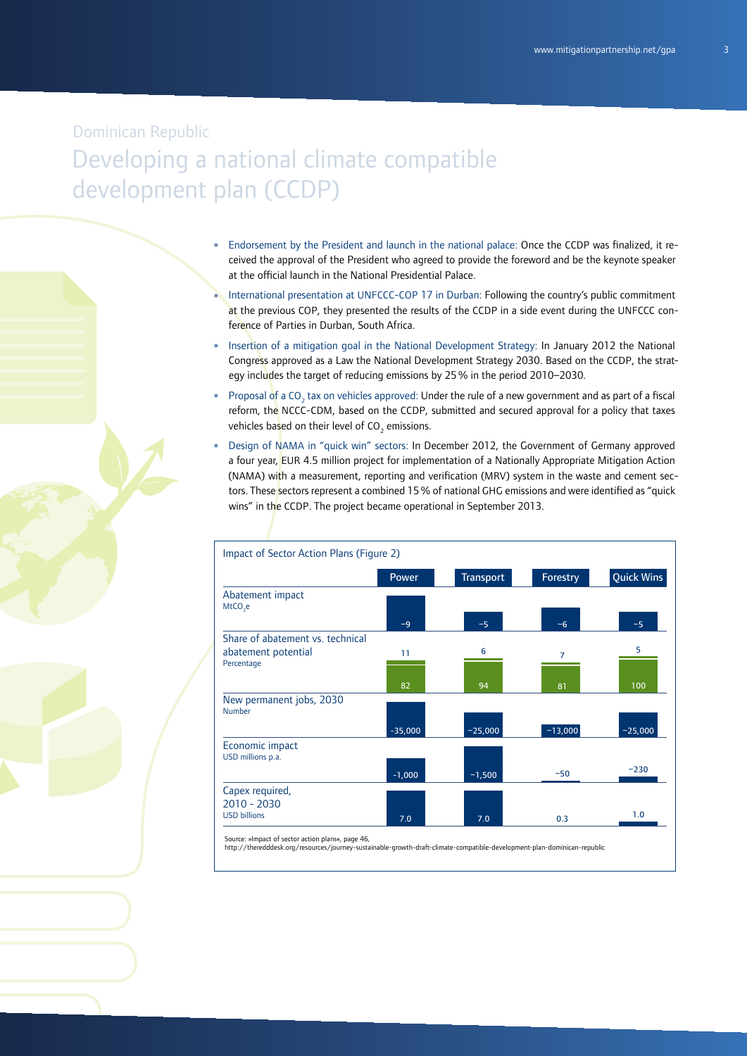- » Endorsement by the President and launch in the national palace: Once the CCDP was finalized, it received the approval of the President who agreed to provide the foreword and be the keynote speaker at the official launch in the National Presidential Palace.
- » International presentation at UNFCCC-COP 17 in Durban: Following the country's public commitment at the previous COP, they presented the results of the CCDP in a side event during the UNFCCC conference of Parties in Durban, South Africa.
- » Insertion of a mitigation goal in the National Development Strategy: In January 2012 the National Congress approved as a Law the National Development Strategy 2030. Based on the CCDP, the strategy includes the target of reducing emissions by 25% in the period 2010–2030.
- » Proposal of a CO<sub>2</sub> tax on vehicles approved: Under the rule of a new government and as part of a fiscal reform, the NCCC-CDM, based on the CCDP, submitted and secured approval for a policy that taxes vehicles ba<mark>s</mark>ed on their level of CO<sub>2</sub> emissions.
- Design of NAMA in "quick win" sectors: In December 2012, the Government of Germany approved a four year, EUR 4.5 million project for implementation of a Nationally Appropriate Mitigation Action (NAMA) with a measurement, reporting and verification (MRV) system in the waste and cement sectors. These sectors represent a combined 15 % of national GHG emissions and were identified as "quick wins" in the CCDP. The project became operational in September 2013.

| Impact of Sector Action Plans (Figure 2)          |              |                  |                |                   |
|---------------------------------------------------|--------------|------------------|----------------|-------------------|
|                                                   | <b>Power</b> | <b>Transport</b> | Forestry       | <b>Quick Wins</b> |
| Abatement impact<br>$MtCO2$ e                     |              |                  |                |                   |
|                                                   | $-9$         | $-5$             | $-6$           | $-5$              |
| Share of abatement vs. technical                  |              |                  |                |                   |
| abatement potential                               | 11           | 6                | $\overline{7}$ | 5                 |
| Percentage                                        |              |                  |                |                   |
|                                                   | 82           | 94               | 81             | 100               |
| New permanent jobs, 2030<br><b>Number</b>         |              |                  |                |                   |
|                                                   | $-35,000$    | $-25,000$        | $-13,000$      | $-25,000$         |
| Economic impact<br>USD millions p.a.              |              |                  |                |                   |
|                                                   | $-1,000$     | $-1,500$         | $-50$          | $-230$            |
| Capex required,                                   |              |                  |                |                   |
| $2010 - 2030$                                     |              |                  |                |                   |
| <b>USD billions</b>                               | 7.0          | 7.0              | 0.3            | 1.0               |
| Source: »Impact of sector action plans«, page 46, |              |                  |                |                   |

Source: »Impact of sector action plans«, page 46, http://theredddesk.org/resources/journey-sustainable-growth-dra-climate-compatible-development-plan-dominican-republic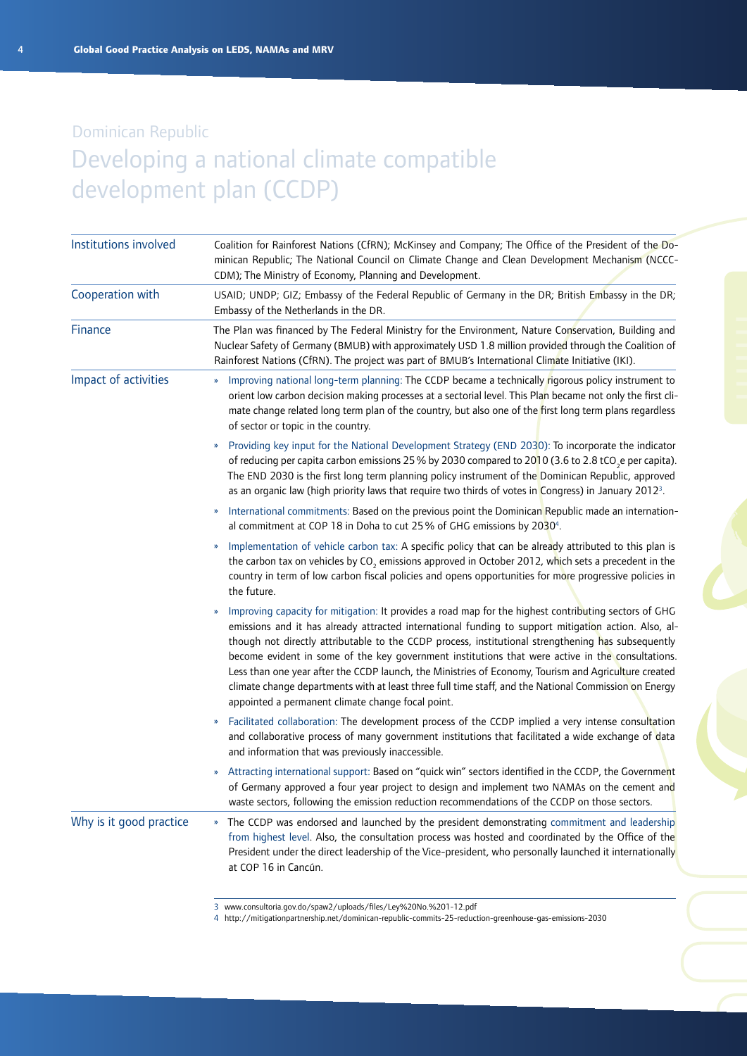| Institutions involved   | Coalition for Rainforest Nations (CfRN); McKinsey and Company; The Office of the President of the Do-<br>minican Republic; The National Council on Climate Change and Clean Development Mechanism (NCCC-<br>CDM); The Ministry of Economy, Planning and Development.                                                                                                                                                                                                                                                                                                                                                                                                                          |  |  |
|-------------------------|-----------------------------------------------------------------------------------------------------------------------------------------------------------------------------------------------------------------------------------------------------------------------------------------------------------------------------------------------------------------------------------------------------------------------------------------------------------------------------------------------------------------------------------------------------------------------------------------------------------------------------------------------------------------------------------------------|--|--|
| Cooperation with        | USAID; UNDP; GIZ; Embassy of the Federal Republic of Germany in the DR; British Embassy in the DR;<br>Embassy of the Netherlands in the DR.                                                                                                                                                                                                                                                                                                                                                                                                                                                                                                                                                   |  |  |
| Finance                 | The Plan was financed by The Federal Ministry for the Environment, Nature Conservation, Building and<br>Nuclear Safety of Germany (BMUB) with approximately USD 1.8 million provided through the Coalition of<br>Rainforest Nations (CfRN). The project was part of BMUB's International Climate Initiative (IKI).                                                                                                                                                                                                                                                                                                                                                                            |  |  |
| Impact of activities    | Improving national long-term planning: The CCDP became a technically rigorous policy instrument to<br>$\boldsymbol{\mathcal{D}}$<br>orient low carbon decision making processes at a sectorial level. This Plan became not only the first cli-<br>mate change related long term plan of the country, but also one of the first long term plans regardless<br>of sector or topic in the country.                                                                                                                                                                                                                                                                                               |  |  |
|                         | Providing key input for the National Development Strategy (END 2030): To incorporate the indicator<br>of reducing per capita carbon emissions 25% by 2030 compared to 2010 (3.6 to 2.8 tCO <sub>2</sub> e per capita).<br>The END 2030 is the first long term planning policy instrument of the Dominican Republic, approved<br>as an organic law (high priority laws that require two thirds of votes in Congress) in January 2012 <sup>3</sup> .                                                                                                                                                                                                                                            |  |  |
|                         | International commitments: Based on the previous point the Dominican Republic made an internation-<br>$\boldsymbol{\mathcal{Y}}$<br>al commitment at COP 18 in Doha to cut 25% of GHG emissions by 2030 <sup>4</sup> .                                                                                                                                                                                                                                                                                                                                                                                                                                                                        |  |  |
|                         | Implementation of vehicle carbon tax: A specific policy that can be already attributed to this plan is<br>»<br>the carbon tax on vehicles by CO <sub>2</sub> emissions approved in October 2012, which sets a precedent in the<br>country in term of low carbon fiscal policies and opens opportunities for more progressive policies in<br>the future.                                                                                                                                                                                                                                                                                                                                       |  |  |
|                         | Improving capacity for mitigation: It provides a road map for the highest contributing sectors of GHG<br>emissions and it has already attracted international funding to support mitigation action. Also, al-<br>though not directly attributable to the CCDP process, institutional strengthening has subsequently<br>become evident in some of the key government institutions that were active in the consultations.<br>Less than one year after the CCDP launch, the Ministries of Economy, Tourism and Agriculture created<br>climate change departments with at least three full time staff, and the National Commission on Energy<br>appointed a permanent climate change focal point. |  |  |
|                         | Facilitated collaboration: The development process of the CCDP implied a very intense consultation<br>$\boldsymbol{\mathcal{V}}$<br>and collaborative process of many government institutions that facilitated a wide exchange of data<br>and information that was previously inaccessible.                                                                                                                                                                                                                                                                                                                                                                                                   |  |  |
|                         | Attracting international support: Based on "quick win" sectors identified in the CCDP, the Government<br>$\boldsymbol{\mathcal{V}}$<br>of Germany approved a four year project to design and implement two NAMAs on the cement and<br>waste sectors, following the emission reduction recommendations of the CCDP on those sectors.                                                                                                                                                                                                                                                                                                                                                           |  |  |
| Why is it good practice | The CCDP was endorsed and launched by the president demonstrating commitment and leadership<br>$\boldsymbol{\mathcal{D}}$<br>from highest level. Also, the consultation process was hosted and coordinated by the Office of the<br>President under the direct leadership of the Vice-president, who personally launched it internationally<br>at COP 16 in Cancún.                                                                                                                                                                                                                                                                                                                            |  |  |

<sup>3</sup> [www.consultoria.gov.do/spaw2/uploads/files/Ley%](www.consultoria.gov.do/spaw2/uploads/files/Ley%20No.%201-12.pdf)20No.%201-12.pdf

4 [http://mitigationpartnership.net/dominican-](http://mitigationpartnership.net/dominican-republic-commits-25-reduction-greenhouse-gas-emissions-2030)republic-commits-25-reduction-greenhouse-gas-emissions-2030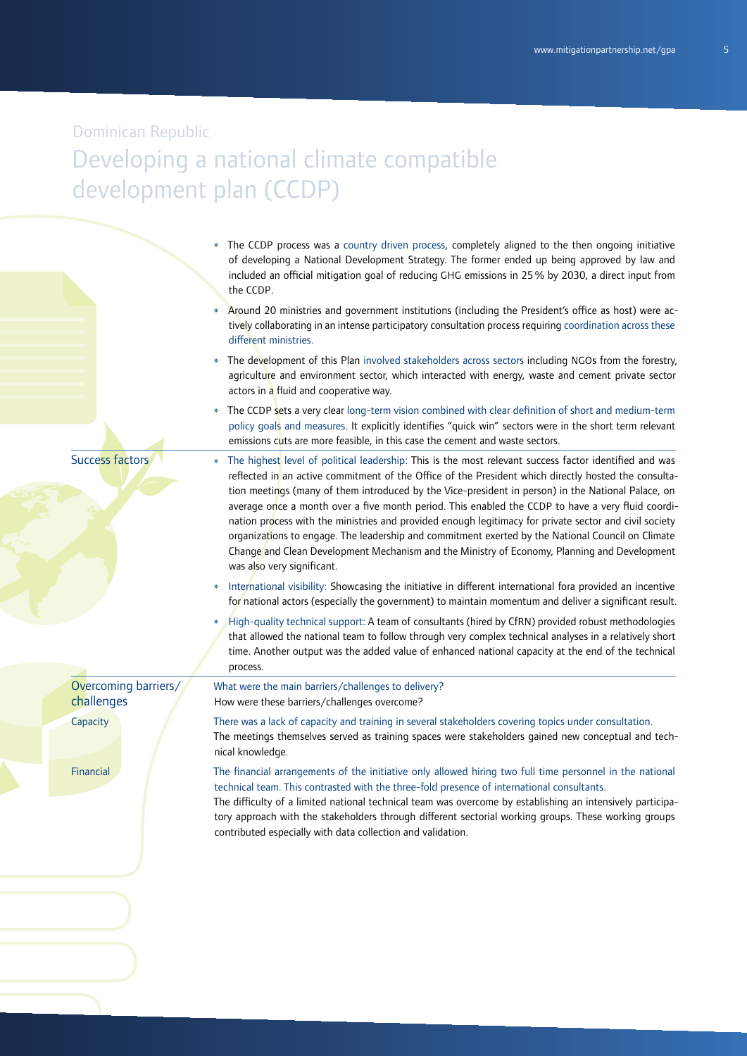- » The CCDP process was a country driven process, completely aligned to the then ongoing initiative of developing a National Development Strategy. The former ended up being approved by law and included an official mitigation goal of reducing GHG emissions in 25% by 2030, a direct input from the CCDP.
- » Around 20 ministries and government institutions (including the President's office as host) were actively collaborating in an intense participatory consultation process requiring coordination across these different ministries.
- » The development of this Plan involved stakeholders across sectors including NGOs from the forestry, agriculture and environment sector, which interacted with energy, waste and cement private sector actors in a fluid and cooperative way.
- » The CCDP sets a very clear long-term vision combined with clear definition of short and medium-term policy goals and measures. It explicitly identifies "quick win" sectors were in the short term relevant emissions cuts are more feasible, in this case the cement and waste sectors.
- Success factors
- The highest level of political leadership: This is the most relevant success factor identified and was reflected in an active commitment of the Office of the President which directly hosted the consultation meetings (many of them introduced by the Vice-president in person) in the National Palace, on average once a month over a five month period. This enabled the CCDP to have a very fluid coordination process with the ministries and provided enough legitimacy for private sector and civil society organizations to engage. The leadership and commitment exerted by the National Council on Climate Change and Clean Development Mechanism and the Ministry of Economy, Planning and Development was also very significant.
- International visibility: Showcasing the initiative in different international fora provided an incentive for national actors (especially the government) to maintain momentum and deliver a significant result.
- » High-quality technical support: A team of consultants (hired by CfRN) provided robust methodologies that allowed the national team to follow through very complex technical analyses in a relatively short time. Another output was the added value of enhanced national capacity at the end of the technical process.

What were the main barriers/challenges to delivery? How were these barriers/challenges overcome?

Overcoming barriers/ challenges

**Capacity** 

Financial

There was a lack of capacity and training in several stakeholders covering topics under consultation. The meetings themselves served as training spaces were stakeholders gained new conceptual and technical knowledge.

The financial arrangements of the initiative only allowed hiring two full time personnel in the national technical team. This contrasted with the three-fold presence of international consultants.

The difficulty of a limited national technical team was overcome by establishing an intensively participatory approach with the stakeholders through different sectorial working groups. These working groups contributed especially with data collection and validation.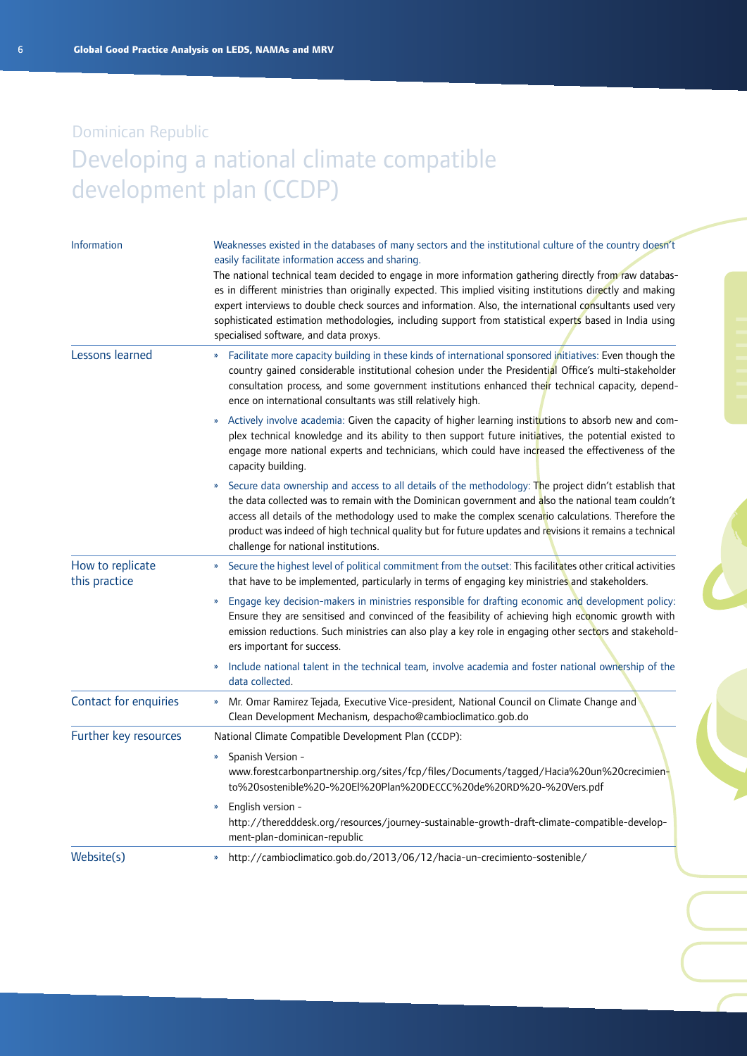| <b>Information</b>                | Weaknesses existed in the databases of many sectors and the institutional culture of the country doesn't<br>easily facilitate information access and sharing.<br>The national technical team decided to engage in more information gathering directly from raw databas-<br>es in different ministries than originally expected. This implied visiting institutions directly and making<br>expert interviews to double check sources and information. Also, the international consultants used very<br>sophisticated estimation methodologies, including support from statistical experts based in India using<br>specialised software, and data proxys. |
|-----------------------------------|---------------------------------------------------------------------------------------------------------------------------------------------------------------------------------------------------------------------------------------------------------------------------------------------------------------------------------------------------------------------------------------------------------------------------------------------------------------------------------------------------------------------------------------------------------------------------------------------------------------------------------------------------------|
| Lessons learned                   | Facilitate more capacity building in these kinds of international sponsored initiatives: Even though the<br>»<br>country gained considerable institutional cohesion under the Presidential Office's multi-stakeholder<br>consultation process, and some government institutions enhanced their technical capacity, depend-<br>ence on international consultants was still relatively high.                                                                                                                                                                                                                                                              |
|                                   | Actively involve academia: Given the capacity of higher learning institutions to absorb new and com-<br>»<br>plex technical knowledge and its ability to then support future initiatives, the potential existed to<br>engage more national experts and technicians, which could have increased the effectiveness of the<br>capacity building.                                                                                                                                                                                                                                                                                                           |
|                                   | Secure data ownership and access to all details of the methodology: The project didn't establish that<br>$\boldsymbol{\mathcal{V}}$<br>the data collected was to remain with the Dominican government and also the national team couldn't<br>access all details of the methodology used to make the complex scenario calculations. Therefore the<br>product was indeed of high technical quality but for future updates and revisions it remains a technical<br>challenge for national institutions.                                                                                                                                                    |
| How to replicate<br>this practice | Secure the highest level of political commitment from the outset: This facilitates other critical activities<br>»<br>that have to be implemented, particularly in terms of engaging key ministries and stakeholders.                                                                                                                                                                                                                                                                                                                                                                                                                                    |
|                                   | Engage key decision-makers in ministries responsible for drafting economic and development policy:<br>»<br>Ensure they are sensitised and convinced of the feasibility of achieving high economic growth with<br>emission reductions. Such ministries can also play a key role in engaging other sectors and stakehold-<br>ers important for success.                                                                                                                                                                                                                                                                                                   |
|                                   | Include national talent in the technical team, involve academia and foster national ownership of the<br>data collected.                                                                                                                                                                                                                                                                                                                                                                                                                                                                                                                                 |
| Contact for enquiries             | Mr. Omar Ramirez Tejada, Executive Vice-president, National Council on Climate Change and<br>»<br>Clean Development Mechanism, despacho@cambioclimatico.gob.do                                                                                                                                                                                                                                                                                                                                                                                                                                                                                          |
| Further key resources             | National Climate Compatible Development Plan (CCDP):                                                                                                                                                                                                                                                                                                                                                                                                                                                                                                                                                                                                    |
|                                   | Spanish Version -<br>$\boldsymbol{\mathcal{V}}$<br>www.forestcarbonpartnership.org/sites/fcp/files/Documents/tagged/Hacia%20un%20crecimien-<br>to%20sostenible%20-%20El%20Plan%20DECCC%20de%20RD%20-%20Vers.pdf                                                                                                                                                                                                                                                                                                                                                                                                                                         |
|                                   | English version -<br>$\boldsymbol{\mathcal{V}}$<br>http://theredddesk.org/resources/journey-sustainable-growth-draft-climate-compatible-develop-<br>ment-plan-dominican-republic                                                                                                                                                                                                                                                                                                                                                                                                                                                                        |
| Website(s)                        | http://cambioclimatico.gob.do/2013/06/12/hacia-un-crecimiento-sostenible/<br>$\boldsymbol{\mathcal{V}}$                                                                                                                                                                                                                                                                                                                                                                                                                                                                                                                                                 |